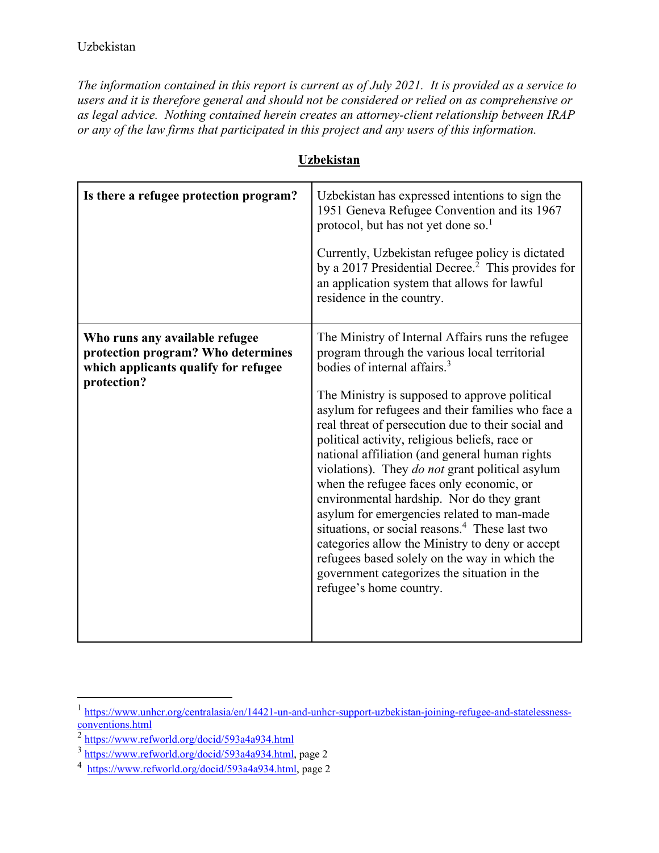*The information contained in this report is current as of July 2021. It is provided as a service to users and it is therefore general and should not be considered or relied on as comprehensive or as legal advice. Nothing contained herein creates an attorney-client relationship between IRAP or any of the law firms that participated in this project and any users of this information.* 

| Is there a refugee protection program?                                                                                      | Uzbekistan has expressed intentions to sign the<br>1951 Geneva Refugee Convention and its 1967<br>protocol, but has not yet done so. <sup>1</sup><br>Currently, Uzbekistan refugee policy is dictated<br>by a 2017 Presidential Decree. <sup>2</sup> This provides for<br>an application system that allows for lawful<br>residence in the country.                                                                                                                                                                                                                                                                                                                                                                                                                                                                                                  |
|-----------------------------------------------------------------------------------------------------------------------------|------------------------------------------------------------------------------------------------------------------------------------------------------------------------------------------------------------------------------------------------------------------------------------------------------------------------------------------------------------------------------------------------------------------------------------------------------------------------------------------------------------------------------------------------------------------------------------------------------------------------------------------------------------------------------------------------------------------------------------------------------------------------------------------------------------------------------------------------------|
| Who runs any available refugee<br>protection program? Who determines<br>which applicants qualify for refugee<br>protection? | The Ministry of Internal Affairs runs the refugee<br>program through the various local territorial<br>bodies of internal affairs. <sup>3</sup><br>The Ministry is supposed to approve political<br>asylum for refugees and their families who face a<br>real threat of persecution due to their social and<br>political activity, religious beliefs, race or<br>national affiliation (and general human rights<br>violations). They do not grant political asylum<br>when the refugee faces only economic, or<br>environmental hardship. Nor do they grant<br>asylum for emergencies related to man-made<br>situations, or social reasons. <sup>4</sup> These last two<br>categories allow the Ministry to deny or accept<br>refugees based solely on the way in which the<br>government categorizes the situation in the<br>refugee's home country. |

## **Uzbekistan**

<sup>1</sup> https://www.unhcr.org/centralasia/en/14421-un-and-unhcr-support-uzbekistan-joining-refugee-and-statelessnessconventions.html<br>
<sup>2</sup> https://www.refworld.org/docid/593a4a934.html<br>
<sup>3</sup> https://www.refworld.org/docid/593a4a934.html, page 2

<sup>&</sup>lt;sup>4</sup> https://www.refworld.org/docid/593a4a934.html, page 2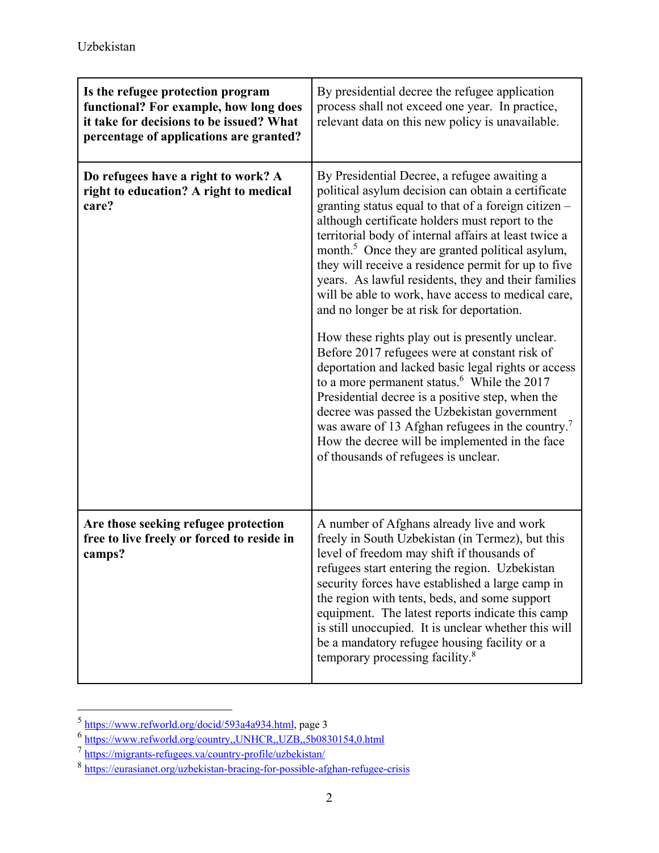| Is the refugee protection program<br>functional? For example, how long does<br>it take for decisions to be issued? What<br>percentage of applications are granted? | By presidential decree the refugee application<br>process shall not exceed one year. In practice,<br>relevant data on this new policy is unavailable.                                                                                                                                                                                                                                                                                                                                                                                                                                                                                                                                                                                                                                                                                                                                                                                                                                                                                     |
|--------------------------------------------------------------------------------------------------------------------------------------------------------------------|-------------------------------------------------------------------------------------------------------------------------------------------------------------------------------------------------------------------------------------------------------------------------------------------------------------------------------------------------------------------------------------------------------------------------------------------------------------------------------------------------------------------------------------------------------------------------------------------------------------------------------------------------------------------------------------------------------------------------------------------------------------------------------------------------------------------------------------------------------------------------------------------------------------------------------------------------------------------------------------------------------------------------------------------|
| Do refugees have a right to work? A<br>right to education? A right to medical<br>care?                                                                             | By Presidential Decree, a refugee awaiting a<br>political asylum decision can obtain a certificate<br>granting status equal to that of a foreign citizen -<br>although certificate holders must report to the<br>territorial body of internal affairs at least twice a<br>month. <sup>5</sup> Once they are granted political asylum,<br>they will receive a residence permit for up to five<br>years. As lawful residents, they and their families<br>will be able to work, have access to medical care,<br>and no longer be at risk for deportation.<br>How these rights play out is presently unclear.<br>Before 2017 refugees were at constant risk of<br>deportation and lacked basic legal rights or access<br>to a more permanent status. <sup>6</sup> While the 2017<br>Presidential decree is a positive step, when the<br>decree was passed the Uzbekistan government<br>was aware of 13 Afghan refugees in the country. <sup>7</sup><br>How the decree will be implemented in the face<br>of thousands of refugees is unclear. |
| Are those seeking refugee protection<br>free to live freely or forced to reside in<br>camps?                                                                       | A number of Afghans already live and work<br>freely in South Uzbekistan (in Termez), but this<br>level of freedom may shift if thousands of<br>refugees start entering the region. Uzbekistan<br>security forces have established a large camp in<br>the region with tents, beds, and some support<br>equipment. The latest reports indicate this camp<br>is still unoccupied. It is unclear whether this will<br>be a mandatory refugee housing facility or a<br>temporary processing facility. <sup>8</sup>                                                                                                                                                                                                                                                                                                                                                                                                                                                                                                                             |

<sup>&</sup>lt;sup>5</sup> https://www.refworld.org/docid/593a4a934.html, page 3

 $\frac{6 \text{ https://www.refword.org/country., UNHCR.,UZB,5b0830154,0.html}}{2 \text{ <https://migrants-refuges.va/country-profile/uzbekistan/>}}$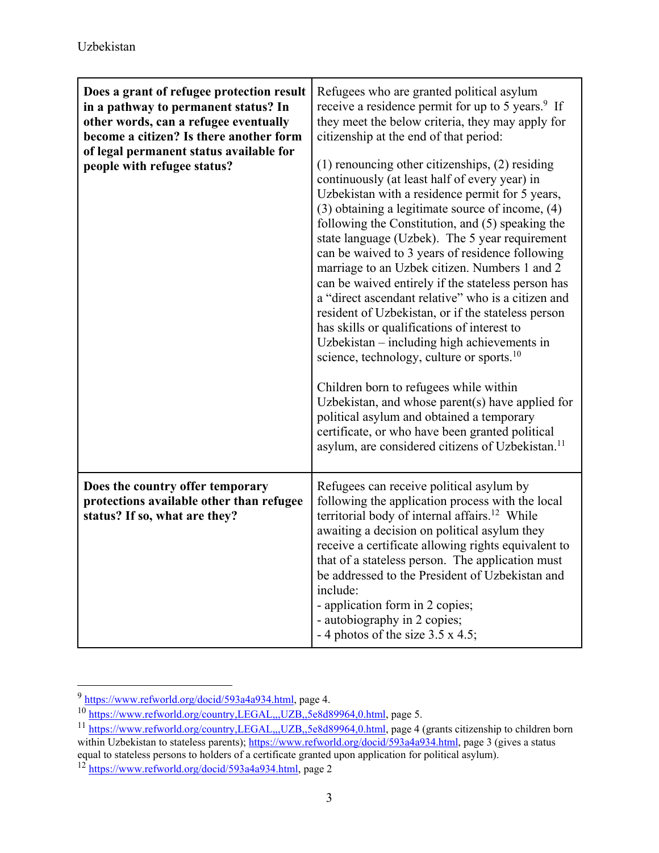| Does a grant of refugee protection result<br>in a pathway to permanent status? In<br>other words, can a refugee eventually<br>become a citizen? Is there another form<br>of legal permanent status available for<br>people with refugee status? | Refugees who are granted political asylum<br>receive a residence permit for up to 5 years. <sup>9</sup> If<br>they meet the below criteria, they may apply for<br>citizenship at the end of that period:<br>$(1)$ renouncing other citizenships, $(2)$ residing<br>continuously (at least half of every year) in<br>Uzbekistan with a residence permit for 5 years,<br>$(3)$ obtaining a legitimate source of income, $(4)$<br>following the Constitution, and (5) speaking the<br>state language (Uzbek). The 5 year requirement<br>can be waived to 3 years of residence following<br>marriage to an Uzbek citizen. Numbers 1 and 2<br>can be waived entirely if the stateless person has<br>a "direct ascendant relative" who is a citizen and<br>resident of Uzbekistan, or if the stateless person<br>has skills or qualifications of interest to<br>Uzbekistan - including high achievements in<br>science, technology, culture or sports. $^{10}$<br>Children born to refugees while within<br>Uzbekistan, and whose parent(s) have applied for<br>political asylum and obtained a temporary<br>certificate, or who have been granted political<br>asylum, are considered citizens of Uzbekistan. <sup>11</sup> |
|-------------------------------------------------------------------------------------------------------------------------------------------------------------------------------------------------------------------------------------------------|------------------------------------------------------------------------------------------------------------------------------------------------------------------------------------------------------------------------------------------------------------------------------------------------------------------------------------------------------------------------------------------------------------------------------------------------------------------------------------------------------------------------------------------------------------------------------------------------------------------------------------------------------------------------------------------------------------------------------------------------------------------------------------------------------------------------------------------------------------------------------------------------------------------------------------------------------------------------------------------------------------------------------------------------------------------------------------------------------------------------------------------------------------------------------------------------------------------------|
| Does the country offer temporary<br>protections available other than refugee<br>status? If so, what are they?                                                                                                                                   | Refugees can receive political asylum by<br>following the application process with the local<br>territorial body of internal affairs. <sup>12</sup> While<br>awaiting a decision on political asylum they<br>receive a certificate allowing rights equivalent to<br>that of a stateless person. The application must<br>be addressed to the President of Uzbekistan and<br>include:<br>- application form in 2 copies;<br>- autobiography in 2 copies;<br>- 4 photos of the size $3.5 \times 4.5$ ;                                                                                                                                                                                                                                                                                                                                                                                                                                                                                                                                                                                                                                                                                                                    |

<sup>9</sup> https://www.refworld.org/docid/593a4a934.html, page 4.

<sup>&</sup>lt;sup>10</sup> https://www.refworld.org/country,LEGAL,,,UZB,,5e8d89964,0.html, page 5.

<sup>&</sup>lt;sup>11</sup> https://www.refworld.org/country,LEGAL,,,UZB,,5e8d89964,0.html, page 4 (grants citizenship to children born within Uzbekistan to stateless parents); https://www.refworld.org/docid/593a4a934.html, page 3 (gives a status

equal to stateless persons to holders of a certificate granted upon application for political asylum).

<sup>&</sup>lt;sup>12</sup> https://www.refworld.org/docid/593a4a934.html, page 2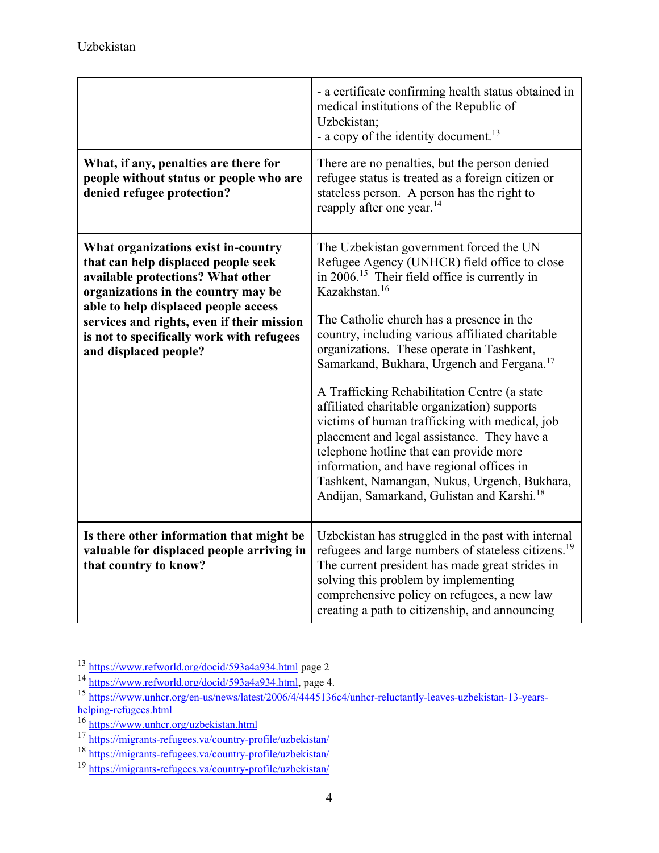|                                                                                                                                                                                                                                                                                                                    | - a certificate confirming health status obtained in<br>medical institutions of the Republic of<br>Uzbekistan;<br>- a copy of the identity document. <sup>13</sup>                                                                                                                                                                                                                                                                                                                                                                                                                                                                                                                                                                                                                              |
|--------------------------------------------------------------------------------------------------------------------------------------------------------------------------------------------------------------------------------------------------------------------------------------------------------------------|-------------------------------------------------------------------------------------------------------------------------------------------------------------------------------------------------------------------------------------------------------------------------------------------------------------------------------------------------------------------------------------------------------------------------------------------------------------------------------------------------------------------------------------------------------------------------------------------------------------------------------------------------------------------------------------------------------------------------------------------------------------------------------------------------|
| What, if any, penalties are there for<br>people without status or people who are<br>denied refugee protection?                                                                                                                                                                                                     | There are no penalties, but the person denied<br>refugee status is treated as a foreign citizen or<br>stateless person. A person has the right to<br>reapply after one year. <sup>14</sup>                                                                                                                                                                                                                                                                                                                                                                                                                                                                                                                                                                                                      |
| What organizations exist in-country<br>that can help displaced people seek<br>available protections? What other<br>organizations in the country may be<br>able to help displaced people access<br>services and rights, even if their mission<br>is not to specifically work with refugees<br>and displaced people? | The Uzbekistan government forced the UN<br>Refugee Agency (UNHCR) field office to close<br>in $2006$ . <sup>15</sup> Their field office is currently in<br>Kazakhstan. <sup>16</sup><br>The Catholic church has a presence in the<br>country, including various affiliated charitable<br>organizations. These operate in Tashkent,<br>Samarkand, Bukhara, Urgench and Fergana. <sup>17</sup><br>A Trafficking Rehabilitation Centre (a state<br>affiliated charitable organization) supports<br>victims of human trafficking with medical, job<br>placement and legal assistance. They have a<br>telephone hotline that can provide more<br>information, and have regional offices in<br>Tashkent, Namangan, Nukus, Urgench, Bukhara,<br>Andijan, Samarkand, Gulistan and Karshi. <sup>18</sup> |
| Is there other information that might be<br>valuable for displaced people arriving in<br>that country to know?                                                                                                                                                                                                     | Uzbekistan has struggled in the past with internal<br>refugees and large numbers of stateless citizens. <sup>19</sup><br>The current president has made great strides in<br>solving this problem by implementing<br>comprehensive policy on refugees, a new law<br>creating a path to citizenship, and announcing                                                                                                                                                                                                                                                                                                                                                                                                                                                                               |

<sup>&</sup>lt;sup>13</sup> https://www.refworld.org/docid/593a4a934.html page 2

<sup>&</sup>lt;sup>14</sup> https://www.refworld.org/docid/593a4a934.html, page 4.

<sup>15</sup> https://www.unhcr.org/en-us/news/latest/2006/4/4445136c4/unhcr-reluctantly-leaves-uzbekistan-13-yearshelping-refugees.html<br>
<sup>16</sup><br>
https://www.unhcr.org/uzbekistan.html<br>
<sup>17</sup><br>
https://migrants-refugees.va/country-profile/uzbekistan/<br>
<sup>18</sup><br>
https://migrants-refugees.va/country-profile/uzbekistan/<br>
<sup>19</sup><br>
https://migrants-ref